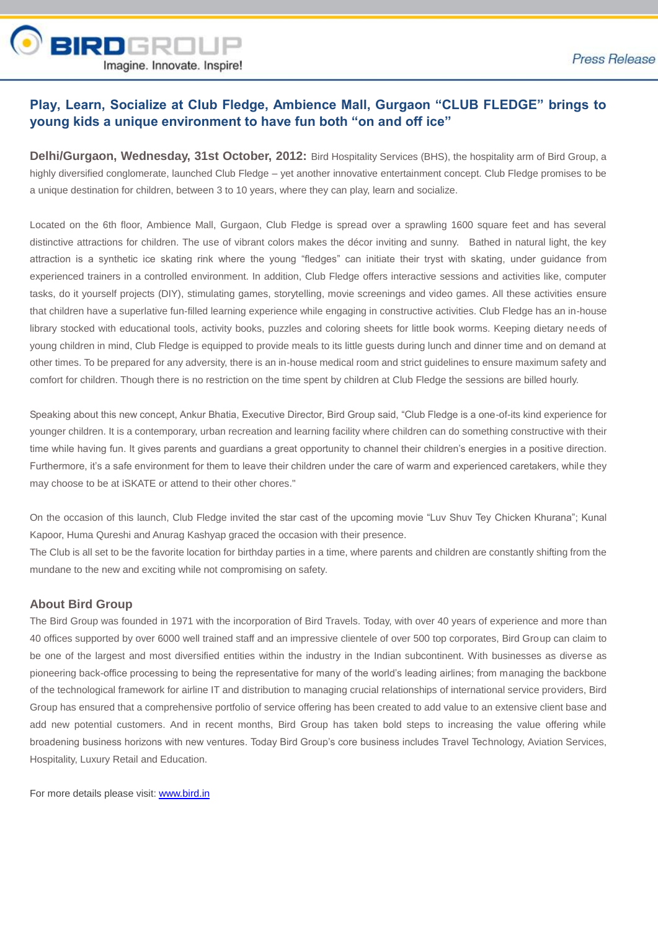

# **Play, Learn, Socialize at Club Fledge, Ambience Mall, Gurgaon "CLUB FLEDGE" brings to young kids a unique environment to have fun both "on and off ice"**

**Delhi/Gurgaon, Wednesday, 31st October, 2012:** Bird Hospitality Services (BHS), the hospitality arm of Bird Group, a highly diversified conglomerate, launched Club Fledge – yet another innovative entertainment concept. Club Fledge promises to be a unique destination for children, between 3 to 10 years, where they can play, learn and socialize.

Located on the 6th floor, Ambience Mall, Gurgaon, Club Fledge is spread over a sprawling 1600 square feet and has several distinctive attractions for children. The use of vibrant colors makes the décor inviting and sunny. Bathed in natural light, the key attraction is a synthetic ice skating rink where the young "fledges" can initiate their tryst with skating, under guidance from experienced trainers in a controlled environment. In addition, Club Fledge offers interactive sessions and activities like, computer tasks, do it yourself projects (DIY), stimulating games, storytelling, movie screenings and video games. All these activities ensure that children have a superlative fun-filled learning experience while engaging in constructive activities. Club Fledge has an in-house library stocked with educational tools, activity books, puzzles and coloring sheets for little book worms. Keeping dietary needs of young children in mind, Club Fledge is equipped to provide meals to its little guests during lunch and dinner time and on demand at other times. To be prepared for any adversity, there is an in-house medical room and strict guidelines to ensure maximum safety and comfort for children. Though there is no restriction on the time spent by children at Club Fledge the sessions are billed hourly.

Speaking about this new concept, Ankur Bhatia, Executive Director, Bird Group said, "Club Fledge is a one-of-its kind experience for younger children. It is a contemporary, urban recreation and learning facility where children can do something constructive with their time while having fun. It gives parents and guardians a great opportunity to channel their children's energies in a positive direction. Furthermore, it's a safe environment for them to leave their children under the care of warm and experienced caretakers, while they may choose to be at iSKATE or attend to their other chores."

On the occasion of this launch, Club Fledge invited the star cast of the upcoming movie "Luv Shuv Tey Chicken Khurana"; Kunal Kapoor, Huma Qureshi and Anurag Kashyap graced the occasion with their presence.

The Club is all set to be the favorite location for birthday parties in a time, where parents and children are constantly shifting from the mundane to the new and exciting while not compromising on safety.

#### **About Bird Group**

The Bird Group was founded in 1971 with the incorporation of Bird Travels. Today, with over 40 years of experience and more than 40 offices supported by over 6000 well trained staff and an impressive clientele of over 500 top corporates, Bird Group can claim to be one of the largest and most diversified entities within the industry in the Indian subcontinent. With businesses as diverse as pioneering back-office processing to being the representative for many of the world's leading airlines; from managing the backbone of the technological framework for airline IT and distribution to managing crucial relationships of international service providers, Bird Group has ensured that a comprehensive portfolio of service offering has been created to add value to an extensive client base and add new potential customers. And in recent months, Bird Group has taken bold steps to increasing the value offering while broadening business horizons with new ventures. Today Bird Group's core business includes Travel Technology, Aviation Services, Hospitality, Luxury Retail and Education.

For more details please visit: [www.bird.in](http://www.bird.in/)